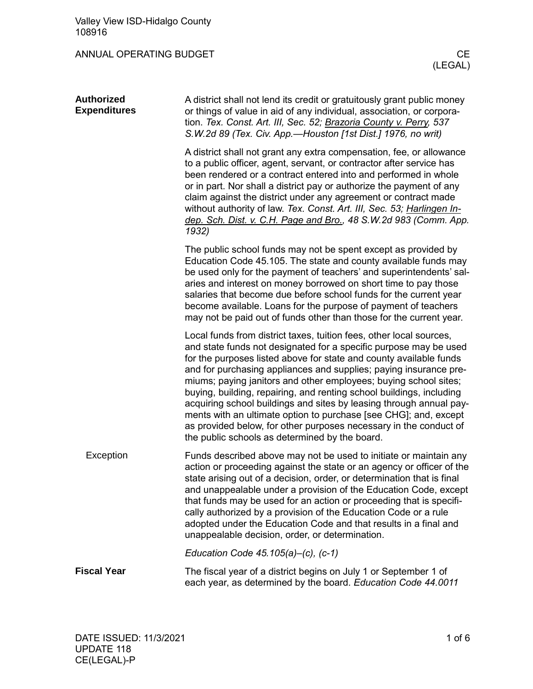## ANNUAL OPERATING BUDGET ANNUAL CE

| <b>Authorized</b><br><b>Expenditures</b> | A district shall not lend its credit or gratuitously grant public money<br>or things of value in aid of any individual, association, or corpora-<br>tion. Tex. Const. Art. III, Sec. 52; Brazoria County v. Perry, 537<br>S.W.2d 89 (Tex. Civ. App.-Houston [1st Dist.] 1976, no writ)                                                                                                                                                                                                                                                                                                                                                                                                            |
|------------------------------------------|---------------------------------------------------------------------------------------------------------------------------------------------------------------------------------------------------------------------------------------------------------------------------------------------------------------------------------------------------------------------------------------------------------------------------------------------------------------------------------------------------------------------------------------------------------------------------------------------------------------------------------------------------------------------------------------------------|
|                                          | A district shall not grant any extra compensation, fee, or allowance<br>to a public officer, agent, servant, or contractor after service has<br>been rendered or a contract entered into and performed in whole<br>or in part. Nor shall a district pay or authorize the payment of any<br>claim against the district under any agreement or contract made<br>without authority of law. Tex. Const. Art. III, Sec. 53; Harlingen In-<br>dep. Sch. Dist. v. C.H. Page and Bro., 48 S.W.2d 983 (Comm. App.<br>1932)                                                                                                                                                                                 |
|                                          | The public school funds may not be spent except as provided by<br>Education Code 45.105. The state and county available funds may<br>be used only for the payment of teachers' and superintendents' sal-<br>aries and interest on money borrowed on short time to pay those<br>salaries that become due before school funds for the current year<br>become available. Loans for the purpose of payment of teachers<br>may not be paid out of funds other than those for the current year.                                                                                                                                                                                                         |
|                                          | Local funds from district taxes, tuition fees, other local sources,<br>and state funds not designated for a specific purpose may be used<br>for the purposes listed above for state and county available funds<br>and for purchasing appliances and supplies; paying insurance pre-<br>miums; paying janitors and other employees; buying school sites;<br>buying, building, repairing, and renting school buildings, including<br>acquiring school buildings and sites by leasing through annual pay-<br>ments with an ultimate option to purchase [see CHG]; and, except<br>as provided below, for other purposes necessary in the conduct of<br>the public schools as determined by the board. |
| Exception                                | Funds described above may not be used to initiate or maintain any<br>action or proceeding against the state or an agency or officer of the<br>state arising out of a decision, order, or determination that is final<br>and unappealable under a provision of the Education Code, except<br>that funds may be used for an action or proceeding that is specifi-<br>cally authorized by a provision of the Education Code or a rule<br>adopted under the Education Code and that results in a final and<br>unappealable decision, order, or determination.                                                                                                                                         |
|                                          | Education Code $45.105(a)$ –(c), (c-1)                                                                                                                                                                                                                                                                                                                                                                                                                                                                                                                                                                                                                                                            |
| <b>Fiscal Year</b>                       | The fiscal year of a district begins on July 1 or September 1 of                                                                                                                                                                                                                                                                                                                                                                                                                                                                                                                                                                                                                                  |

each year, as determined by the board. *Education Code 44.0011*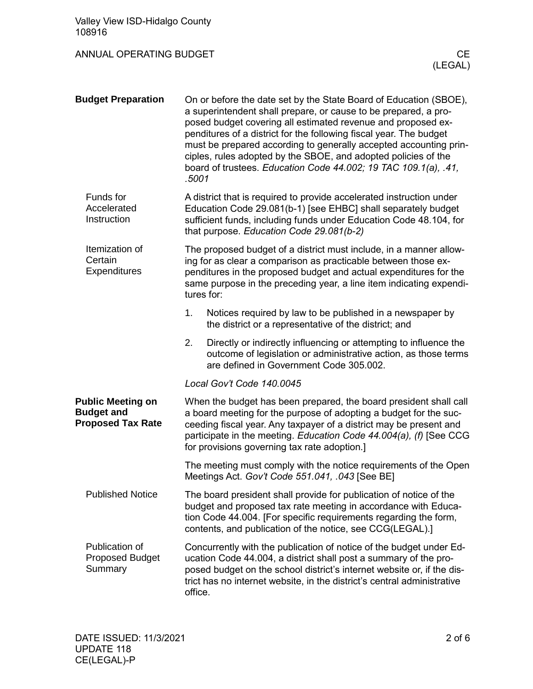| Valley View ISD-Hidalgo County<br>108916                                  |                                                                                                                                                                                                                                                                                                                                                                                                                                                                                               |     |
|---------------------------------------------------------------------------|-----------------------------------------------------------------------------------------------------------------------------------------------------------------------------------------------------------------------------------------------------------------------------------------------------------------------------------------------------------------------------------------------------------------------------------------------------------------------------------------------|-----|
| ANNUAL OPERATING BUDGET                                                   | (LEGAL)                                                                                                                                                                                                                                                                                                                                                                                                                                                                                       | CE. |
| <b>Budget Preparation</b>                                                 | On or before the date set by the State Board of Education (SBOE),<br>a superintendent shall prepare, or cause to be prepared, a pro-<br>posed budget covering all estimated revenue and proposed ex-<br>penditures of a district for the following fiscal year. The budget<br>must be prepared according to generally accepted accounting prin-<br>ciples, rules adopted by the SBOE, and adopted policies of the<br>board of trustees. Education Code 44.002; 19 TAC 109.1(a), .41,<br>.5001 |     |
| Funds for<br>Accelerated<br>Instruction                                   | A district that is required to provide accelerated instruction under<br>Education Code 29.081(b-1) [see EHBC] shall separately budget<br>sufficient funds, including funds under Education Code 48.104, for<br>that purpose. Education Code 29.081(b-2)                                                                                                                                                                                                                                       |     |
| Itemization of<br>Certain<br><b>Expenditures</b>                          | The proposed budget of a district must include, in a manner allow-<br>ing for as clear a comparison as practicable between those ex-<br>penditures in the proposed budget and actual expenditures for the<br>same purpose in the preceding year, a line item indicating expendi-<br>tures for:                                                                                                                                                                                                |     |
|                                                                           | 1.<br>Notices required by law to be published in a newspaper by<br>the district or a representative of the district; and                                                                                                                                                                                                                                                                                                                                                                      |     |
|                                                                           | 2.<br>Directly or indirectly influencing or attempting to influence the<br>outcome of legislation or administrative action, as those terms<br>are defined in Government Code 305.002.                                                                                                                                                                                                                                                                                                         |     |
|                                                                           | Local Gov't Code 140.0045                                                                                                                                                                                                                                                                                                                                                                                                                                                                     |     |
| <b>Public Meeting on</b><br><b>Budget and</b><br><b>Proposed Tax Rate</b> | When the budget has been prepared, the board president shall call<br>a board meeting for the purpose of adopting a budget for the suc-<br>ceeding fiscal year. Any taxpayer of a district may be present and<br>participate in the meeting. Education Code 44.004(a), (f) [See CCG<br>for provisions governing tax rate adoption.]                                                                                                                                                            |     |
|                                                                           | The meeting must comply with the notice requirements of the Open<br>Meetings Act. Gov't Code 551.041, .043 [See BE]                                                                                                                                                                                                                                                                                                                                                                           |     |
| <b>Published Notice</b>                                                   | The board president shall provide for publication of notice of the<br>budget and proposed tax rate meeting in accordance with Educa-<br>tion Code 44.004. [For specific requirements regarding the form,<br>contents, and publication of the notice, see CCG(LEGAL).]                                                                                                                                                                                                                         |     |
| Publication of<br><b>Proposed Budget</b><br>Summary                       | Concurrently with the publication of notice of the budget under Ed-<br>ucation Code 44.004, a district shall post a summary of the pro-<br>posed budget on the school district's internet website or, if the dis-<br>trict has no internet website, in the district's central administrative<br>office.                                                                                                                                                                                       |     |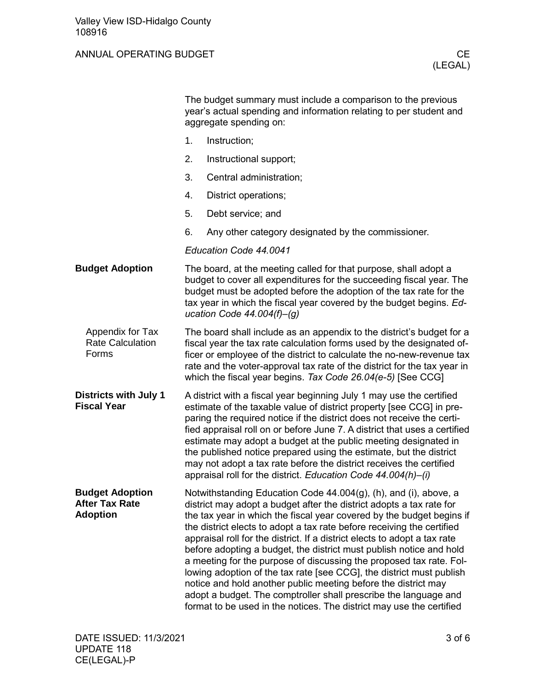## ANNUAL OPERATING BUDGET CE

|                                                                    | The budget summary must include a comparison to the previous<br>year's actual spending and information relating to per student and<br>aggregate spending on:                                                                                                                                                                                                                                                                                                                                                                                                                                                                                                                                                                                                                                                 |  |
|--------------------------------------------------------------------|--------------------------------------------------------------------------------------------------------------------------------------------------------------------------------------------------------------------------------------------------------------------------------------------------------------------------------------------------------------------------------------------------------------------------------------------------------------------------------------------------------------------------------------------------------------------------------------------------------------------------------------------------------------------------------------------------------------------------------------------------------------------------------------------------------------|--|
|                                                                    | 1.<br>Instruction;                                                                                                                                                                                                                                                                                                                                                                                                                                                                                                                                                                                                                                                                                                                                                                                           |  |
|                                                                    | 2.<br>Instructional support;                                                                                                                                                                                                                                                                                                                                                                                                                                                                                                                                                                                                                                                                                                                                                                                 |  |
|                                                                    | 3.<br>Central administration;                                                                                                                                                                                                                                                                                                                                                                                                                                                                                                                                                                                                                                                                                                                                                                                |  |
|                                                                    | 4.<br>District operations;                                                                                                                                                                                                                                                                                                                                                                                                                                                                                                                                                                                                                                                                                                                                                                                   |  |
|                                                                    | 5.<br>Debt service; and                                                                                                                                                                                                                                                                                                                                                                                                                                                                                                                                                                                                                                                                                                                                                                                      |  |
|                                                                    | 6.<br>Any other category designated by the commissioner.                                                                                                                                                                                                                                                                                                                                                                                                                                                                                                                                                                                                                                                                                                                                                     |  |
|                                                                    | Education Code 44.0041                                                                                                                                                                                                                                                                                                                                                                                                                                                                                                                                                                                                                                                                                                                                                                                       |  |
| <b>Budget Adoption</b>                                             | The board, at the meeting called for that purpose, shall adopt a<br>budget to cover all expenditures for the succeeding fiscal year. The<br>budget must be adopted before the adoption of the tax rate for the<br>tax year in which the fiscal year covered by the budget begins. Ed-<br>ucation Code $44.004(f)$ -(g)                                                                                                                                                                                                                                                                                                                                                                                                                                                                                       |  |
| Appendix for Tax<br><b>Rate Calculation</b><br>Forms               | The board shall include as an appendix to the district's budget for a<br>fiscal year the tax rate calculation forms used by the designated of-<br>ficer or employee of the district to calculate the no-new-revenue tax<br>rate and the voter-approval tax rate of the district for the tax year in<br>which the fiscal year begins. Tax Code 26.04(e-5) [See CCG]                                                                                                                                                                                                                                                                                                                                                                                                                                           |  |
| <b>Districts with July 1</b><br><b>Fiscal Year</b>                 | A district with a fiscal year beginning July 1 may use the certified<br>estimate of the taxable value of district property [see CCG] in pre-<br>paring the required notice if the district does not receive the certi-<br>fied appraisal roll on or before June 7. A district that uses a certified<br>estimate may adopt a budget at the public meeting designated in<br>the published notice prepared using the estimate, but the district<br>may not adopt a tax rate before the district receives the certified<br>appraisal roll for the district. Education Code 44.004(h)-(i)                                                                                                                                                                                                                         |  |
| <b>Budget Adoption</b><br><b>After Tax Rate</b><br><b>Adoption</b> | Notwithstanding Education Code 44.004(g), (h), and (i), above, a<br>district may adopt a budget after the district adopts a tax rate for<br>the tax year in which the fiscal year covered by the budget begins if<br>the district elects to adopt a tax rate before receiving the certified<br>appraisal roll for the district. If a district elects to adopt a tax rate<br>before adopting a budget, the district must publish notice and hold<br>a meeting for the purpose of discussing the proposed tax rate. Fol-<br>lowing adoption of the tax rate [see CCG], the district must publish<br>notice and hold another public meeting before the district may<br>adopt a budget. The comptroller shall prescribe the language and<br>format to be used in the notices. The district may use the certified |  |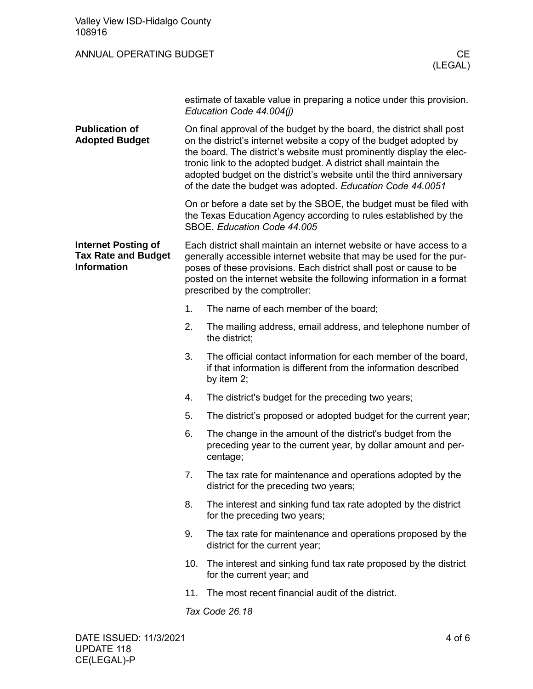| Valley View ISD-Hidalgo County<br>108916                                       |     |                                                                                                                                                                                                                                                                                                                                                                                                                               |
|--------------------------------------------------------------------------------|-----|-------------------------------------------------------------------------------------------------------------------------------------------------------------------------------------------------------------------------------------------------------------------------------------------------------------------------------------------------------------------------------------------------------------------------------|
| ANNUAL OPERATING BUDGET                                                        |     | CE<br>(LEGAL)                                                                                                                                                                                                                                                                                                                                                                                                                 |
|                                                                                |     | estimate of taxable value in preparing a notice under this provision.<br>Education Code 44.004(j)                                                                                                                                                                                                                                                                                                                             |
| <b>Publication of</b><br><b>Adopted Budget</b>                                 |     | On final approval of the budget by the board, the district shall post<br>on the district's internet website a copy of the budget adopted by<br>the board. The district's website must prominently display the elec-<br>tronic link to the adopted budget. A district shall maintain the<br>adopted budget on the district's website until the third anniversary<br>of the date the budget was adopted. Education Code 44.0051 |
|                                                                                |     | On or before a date set by the SBOE, the budget must be filed with<br>the Texas Education Agency according to rules established by the<br>SBOE. Education Code 44.005                                                                                                                                                                                                                                                         |
| <b>Internet Posting of</b><br><b>Tax Rate and Budget</b><br><b>Information</b> |     | Each district shall maintain an internet website or have access to a<br>generally accessible internet website that may be used for the pur-<br>poses of these provisions. Each district shall post or cause to be<br>posted on the internet website the following information in a format<br>prescribed by the comptroller:                                                                                                   |
|                                                                                | 1.  | The name of each member of the board;                                                                                                                                                                                                                                                                                                                                                                                         |
|                                                                                | 2.  | The mailing address, email address, and telephone number of<br>the district;                                                                                                                                                                                                                                                                                                                                                  |
|                                                                                | 3.  | The official contact information for each member of the board.<br>if that information is different from the information described<br>by item 2;                                                                                                                                                                                                                                                                               |
|                                                                                | 4.  | The district's budget for the preceding two years;                                                                                                                                                                                                                                                                                                                                                                            |
|                                                                                | 5.  | The district's proposed or adopted budget for the current year;                                                                                                                                                                                                                                                                                                                                                               |
|                                                                                | 6.  | The change in the amount of the district's budget from the<br>preceding year to the current year, by dollar amount and per-<br>centage;                                                                                                                                                                                                                                                                                       |
|                                                                                | 7.  | The tax rate for maintenance and operations adopted by the<br>district for the preceding two years;                                                                                                                                                                                                                                                                                                                           |
|                                                                                | 8.  | The interest and sinking fund tax rate adopted by the district<br>for the preceding two years;                                                                                                                                                                                                                                                                                                                                |
|                                                                                | 9.  | The tax rate for maintenance and operations proposed by the<br>district for the current year;                                                                                                                                                                                                                                                                                                                                 |
|                                                                                | 10. | The interest and sinking fund tax rate proposed by the district<br>for the current year; and                                                                                                                                                                                                                                                                                                                                  |
|                                                                                | 11. | The most recent financial audit of the district.                                                                                                                                                                                                                                                                                                                                                                              |
|                                                                                |     | Tax Code 26.18                                                                                                                                                                                                                                                                                                                                                                                                                |
|                                                                                |     |                                                                                                                                                                                                                                                                                                                                                                                                                               |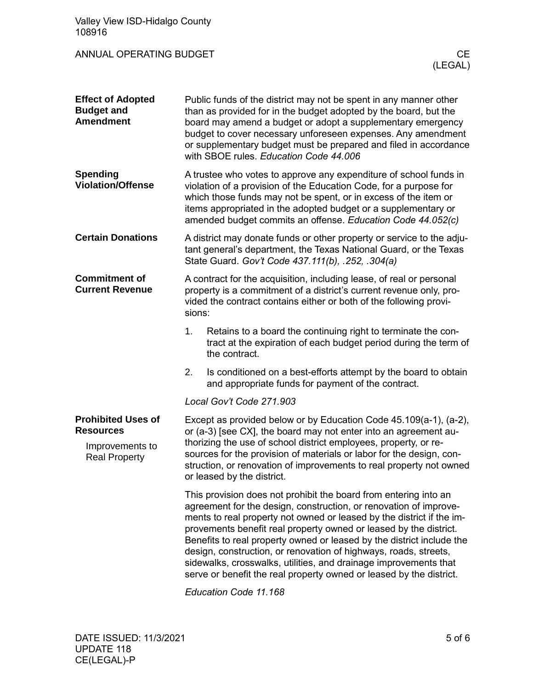| Valley View ISD-Hidalgo County<br>108916                                                 |                                                                                                                                                                                                                                                                                                                                                                                                                                                                                                                                                                             |  |  |
|------------------------------------------------------------------------------------------|-----------------------------------------------------------------------------------------------------------------------------------------------------------------------------------------------------------------------------------------------------------------------------------------------------------------------------------------------------------------------------------------------------------------------------------------------------------------------------------------------------------------------------------------------------------------------------|--|--|
| <b>ANNUAL OPERATING BUDGET</b><br>CE.<br>(LEGAL)                                         |                                                                                                                                                                                                                                                                                                                                                                                                                                                                                                                                                                             |  |  |
| <b>Effect of Adopted</b><br><b>Budget and</b><br><b>Amendment</b>                        | Public funds of the district may not be spent in any manner other<br>than as provided for in the budget adopted by the board, but the<br>board may amend a budget or adopt a supplementary emergency<br>budget to cover necessary unforeseen expenses. Any amendment<br>or supplementary budget must be prepared and filed in accordance<br>with SBOE rules. Education Code 44.006                                                                                                                                                                                          |  |  |
| <b>Spending</b><br><b>Violation/Offense</b>                                              | A trustee who votes to approve any expenditure of school funds in<br>violation of a provision of the Education Code, for a purpose for<br>which those funds may not be spent, or in excess of the item or<br>items appropriated in the adopted budget or a supplementary or<br>amended budget commits an offense. Education Code 44.052(c)                                                                                                                                                                                                                                  |  |  |
| <b>Certain Donations</b>                                                                 | A district may donate funds or other property or service to the adju-<br>tant general's department, the Texas National Guard, or the Texas<br>State Guard. Gov't Code 437.111(b), .252, .304(a)                                                                                                                                                                                                                                                                                                                                                                             |  |  |
| <b>Commitment of</b><br><b>Current Revenue</b>                                           | A contract for the acquisition, including lease, of real or personal<br>property is a commitment of a district's current revenue only, pro-<br>vided the contract contains either or both of the following provi-<br>sions:                                                                                                                                                                                                                                                                                                                                                 |  |  |
|                                                                                          | Retains to a board the continuing right to terminate the con-<br>1.<br>tract at the expiration of each budget period during the term of<br>the contract.                                                                                                                                                                                                                                                                                                                                                                                                                    |  |  |
|                                                                                          | 2.<br>Is conditioned on a best-efforts attempt by the board to obtain<br>and appropriate funds for payment of the contract.                                                                                                                                                                                                                                                                                                                                                                                                                                                 |  |  |
|                                                                                          | Local Gov't Code 271.903                                                                                                                                                                                                                                                                                                                                                                                                                                                                                                                                                    |  |  |
| <b>Prohibited Uses of</b><br><b>Resources</b><br>Improvements to<br><b>Real Property</b> | Except as provided below or by Education Code 45.109(a-1), (a-2),<br>or (a-3) [see CX], the board may not enter into an agreement au-<br>thorizing the use of school district employees, property, or re-<br>sources for the provision of materials or labor for the design, con-<br>struction, or renovation of improvements to real property not owned<br>or leased by the district.                                                                                                                                                                                      |  |  |
|                                                                                          | This provision does not prohibit the board from entering into an<br>agreement for the design, construction, or renovation of improve-<br>ments to real property not owned or leased by the district if the im-<br>provements benefit real property owned or leased by the district.<br>Benefits to real property owned or leased by the district include the<br>design, construction, or renovation of highways, roads, streets,<br>sidewalks, crosswalks, utilities, and drainage improvements that<br>serve or benefit the real property owned or leased by the district. |  |  |

*Education Code 11.168*